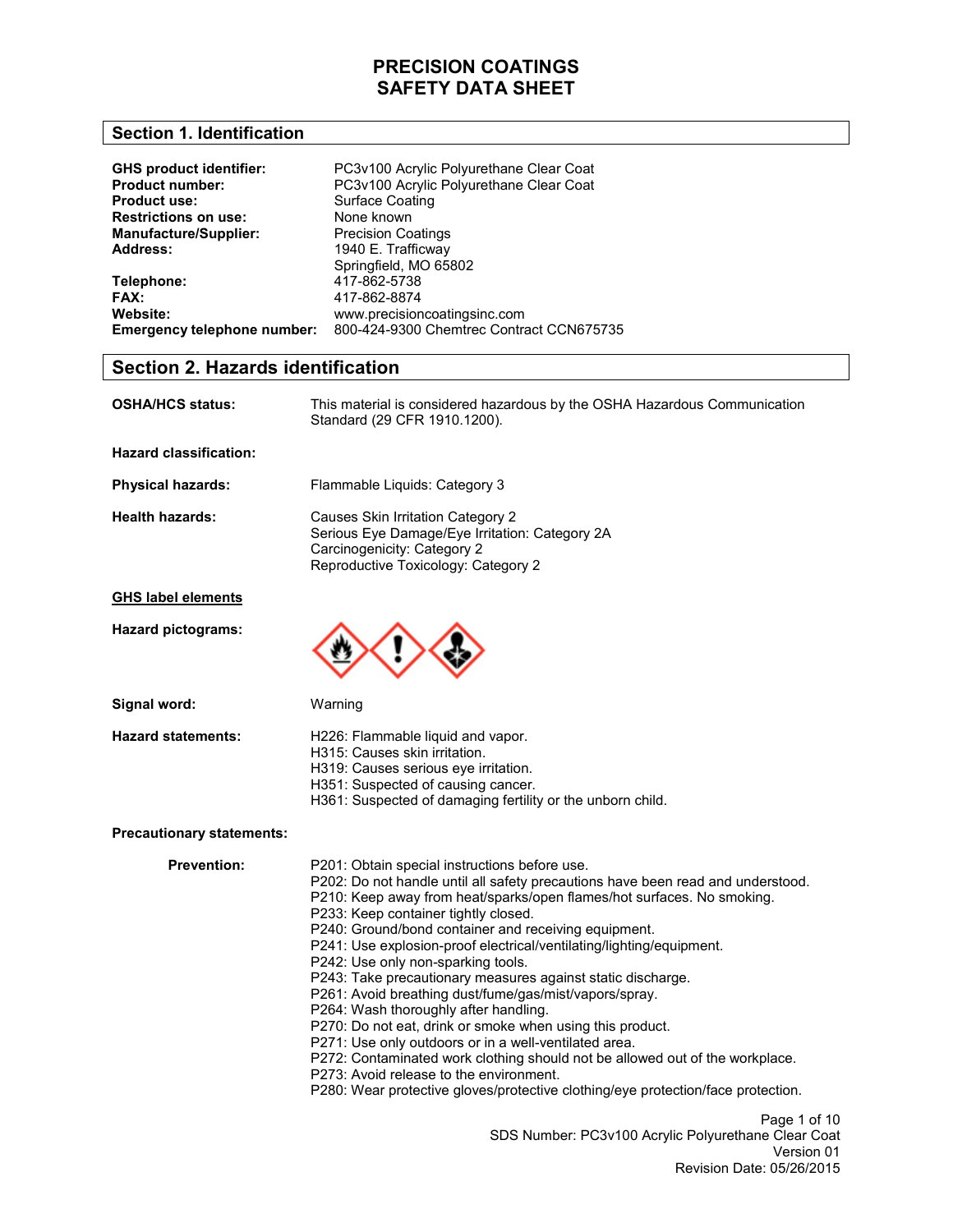#### **Section 1. Identification**

| <b>GHS product identifier:</b><br><b>Product number:</b><br><b>Product use:</b><br><b>Restrictions on use:</b><br><b>Manufacture/Supplier:</b> | PC3v100 Acrylic Polyurethane Clear Coat<br>PC3v100 Acrylic Polyurethane Clear Coat<br>Surface Coating<br>None known<br><b>Precision Coatings</b> |
|------------------------------------------------------------------------------------------------------------------------------------------------|--------------------------------------------------------------------------------------------------------------------------------------------------|
| Address:                                                                                                                                       | 1940 E. Trafficway                                                                                                                               |
|                                                                                                                                                | Springfield, MO 65802                                                                                                                            |
| Telephone:                                                                                                                                     | 417-862-5738                                                                                                                                     |
| FAX:                                                                                                                                           | 417-862-8874                                                                                                                                     |
| Website:                                                                                                                                       | www.precisioncoatingsinc.com                                                                                                                     |
| Emergency telephone number:                                                                                                                    | 800-424-9300 Chemtrec Contract CCN675735                                                                                                         |

#### **Section 2. Hazards identification**

| <b>OSHA/HCS status:</b>       | This material is considered hazardous by the OSHA Hazardous Communication<br>Standard (29 CFR 1910.1200).                                                 |
|-------------------------------|-----------------------------------------------------------------------------------------------------------------------------------------------------------|
| <b>Hazard classification:</b> |                                                                                                                                                           |
| <b>Physical hazards:</b>      | Flammable Liquids: Category 3                                                                                                                             |
| <b>Health hazards:</b>        | Causes Skin Irritation Category 2<br>Serious Eye Damage/Eye Irritation: Category 2A<br>Carcinogenicity: Category 2<br>Reproductive Toxicology: Category 2 |
| <b>GHS label elements</b>     |                                                                                                                                                           |
| Hazard pictograms:            |                                                                                                                                                           |
| Signal word:                  | Warning                                                                                                                                                   |
| <b>Hazard statements:</b>     | H226: Flammable liquid and vapor.                                                                                                                         |

- H315: Causes skin irritation.
- H319: Causes serious eye irritation.
- H351: Suspected of causing cancer.
- H361: Suspected of damaging fertility or the unborn child.

#### **Precautionary statements:**

**Prevention:** 

Page 1 of 10 SDS Number: PC3v100 Acrylic Polyurethane Clear Coat Version 01 Revision Date: 05/26/2015 P201: Obtain special instructions before use. P202: Do not handle until all safety precautions have been read and understood. P210: Keep away from heat/sparks/open flames/hot surfaces. No smoking. P233: Keep container tightly closed. P240: Ground/bond container and receiving equipment. P241: Use explosion-proof electrical/ventilating/lighting/equipment. P242: Use only non-sparking tools. P243: Take precautionary measures against static discharge. P261: Avoid breathing dust/fume/gas/mist/vapors/spray. P264: Wash thoroughly after handling. P270: Do not eat, drink or smoke when using this product. P271: Use only outdoors or in a well-ventilated area. P272: Contaminated work clothing should not be allowed out of the workplace. P273: Avoid release to the environment. P280: Wear protective gloves/protective clothing/eye protection/face protection.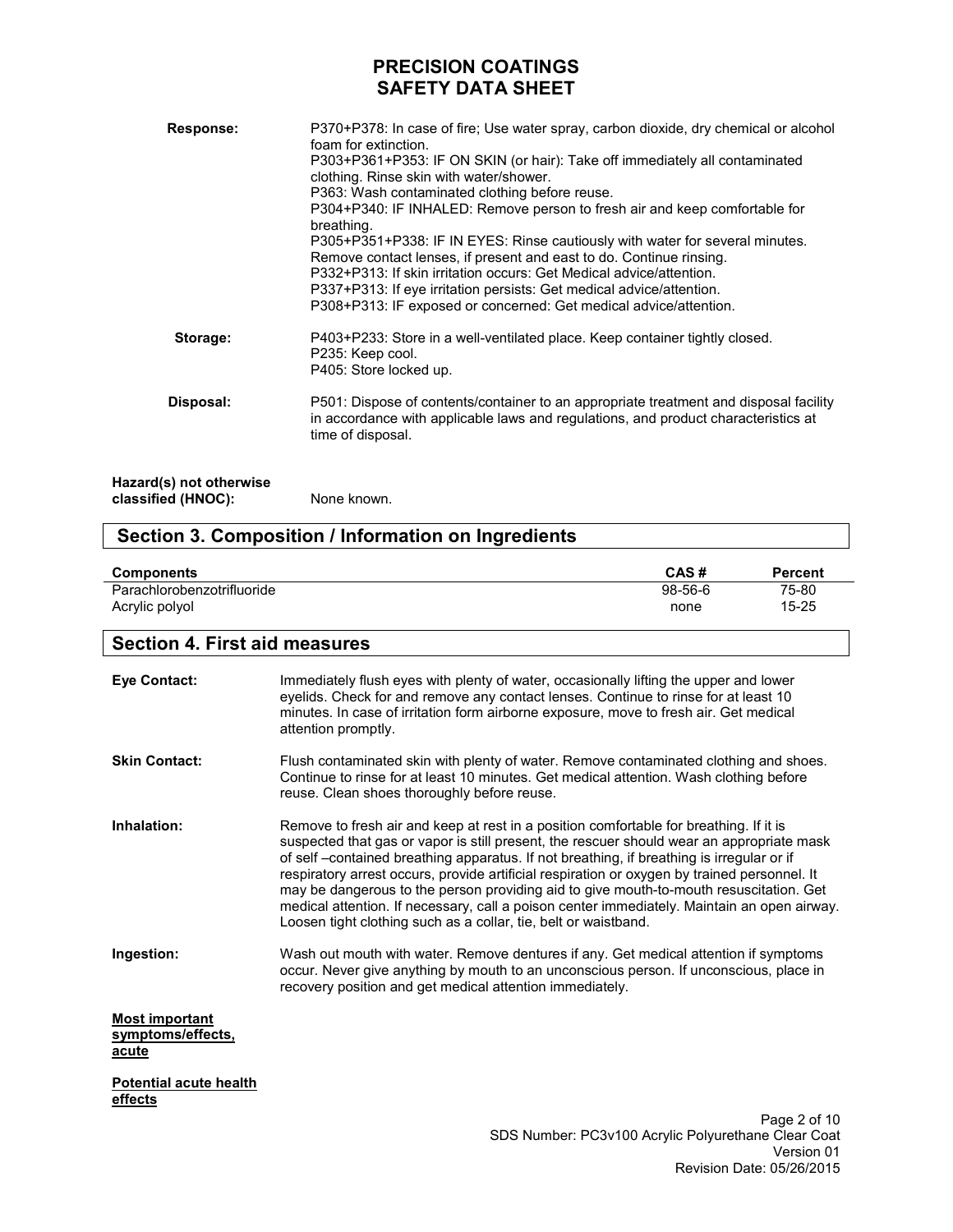| Response:                                     | P370+P378: In case of fire; Use water spray, carbon dioxide, dry chemical or alcohol<br>foam for extinction.<br>P303+P361+P353: IF ON SKIN (or hair): Take off immediately all contaminated<br>clothing. Rinse skin with water/shower.<br>P363: Wash contaminated clothing before reuse.<br>P304+P340: IF INHALED: Remove person to fresh air and keep comfortable for<br>breathing.<br>P305+P351+P338: IF IN EYES: Rinse cautiously with water for several minutes.<br>Remove contact lenses, if present and east to do. Continue rinsing.<br>P332+P313: If skin irritation occurs: Get Medical advice/attention.<br>P337+P313: If eye irritation persists: Get medical advice/attention.<br>P308+P313: IF exposed or concerned: Get medical advice/attention. |
|-----------------------------------------------|-----------------------------------------------------------------------------------------------------------------------------------------------------------------------------------------------------------------------------------------------------------------------------------------------------------------------------------------------------------------------------------------------------------------------------------------------------------------------------------------------------------------------------------------------------------------------------------------------------------------------------------------------------------------------------------------------------------------------------------------------------------------|
| Storage:                                      | P403+P233: Store in a well-ventilated place. Keep container tightly closed.<br>P235: Keep cool.<br>P405: Store locked up.                                                                                                                                                                                                                                                                                                                                                                                                                                                                                                                                                                                                                                       |
| Disposal:                                     | P501: Dispose of contents/container to an appropriate treatment and disposal facility<br>in accordance with applicable laws and regulations, and product characteristics at<br>time of disposal.                                                                                                                                                                                                                                                                                                                                                                                                                                                                                                                                                                |
| Hazard(s) not otherwise<br>classified (HNOC): | None known.                                                                                                                                                                                                                                                                                                                                                                                                                                                                                                                                                                                                                                                                                                                                                     |

## **Section 3. Composition / Information on Ingredients**

| <b>Components</b>          | CAS#      | Percent |
|----------------------------|-----------|---------|
| Parachlorobenzotrifluoride | $98-56-6$ | 75-80   |
| Acrylic polyol             | none      | 15-25   |

### **Section 4. First aid measures**

| <b>Eye Contact:</b>                                 | Immediately flush eyes with plenty of water, occasionally lifting the upper and lower<br>eyelids. Check for and remove any contact lenses. Continue to rinse for at least 10<br>minutes. In case of irritation form airborne exposure, move to fresh air. Get medical<br>attention promptly.                                                                                                                                                                                                                                                                                                                                                |
|-----------------------------------------------------|---------------------------------------------------------------------------------------------------------------------------------------------------------------------------------------------------------------------------------------------------------------------------------------------------------------------------------------------------------------------------------------------------------------------------------------------------------------------------------------------------------------------------------------------------------------------------------------------------------------------------------------------|
| <b>Skin Contact:</b>                                | Flush contaminated skin with plenty of water. Remove contaminated clothing and shoes.<br>Continue to rinse for at least 10 minutes. Get medical attention. Wash clothing before<br>reuse. Clean shoes thoroughly before reuse.                                                                                                                                                                                                                                                                                                                                                                                                              |
| Inhalation:                                         | Remove to fresh air and keep at rest in a position comfortable for breathing. If it is<br>suspected that gas or vapor is still present, the rescuer should wear an appropriate mask<br>of self-contained breathing apparatus. If not breathing, if breathing is irregular or if<br>respiratory arrest occurs, provide artificial respiration or oxygen by trained personnel. It<br>may be dangerous to the person providing aid to give mouth-to-mouth resuscitation. Get<br>medical attention. If necessary, call a poison center immediately. Maintain an open airway.<br>Loosen tight clothing such as a collar, tie, belt or waistband. |
| Ingestion:                                          | Wash out mouth with water. Remove dentures if any. Get medical attention if symptoms<br>occur. Never give anything by mouth to an unconscious person. If unconscious, place in<br>recovery position and get medical attention immediately.                                                                                                                                                                                                                                                                                                                                                                                                  |
| <b>Most important</b><br>symptoms/effects,<br>acute |                                                                                                                                                                                                                                                                                                                                                                                                                                                                                                                                                                                                                                             |
| <b>Potential acute health</b><br>effects            |                                                                                                                                                                                                                                                                                                                                                                                                                                                                                                                                                                                                                                             |
|                                                     | Page 2 of 10                                                                                                                                                                                                                                                                                                                                                                                                                                                                                                                                                                                                                                |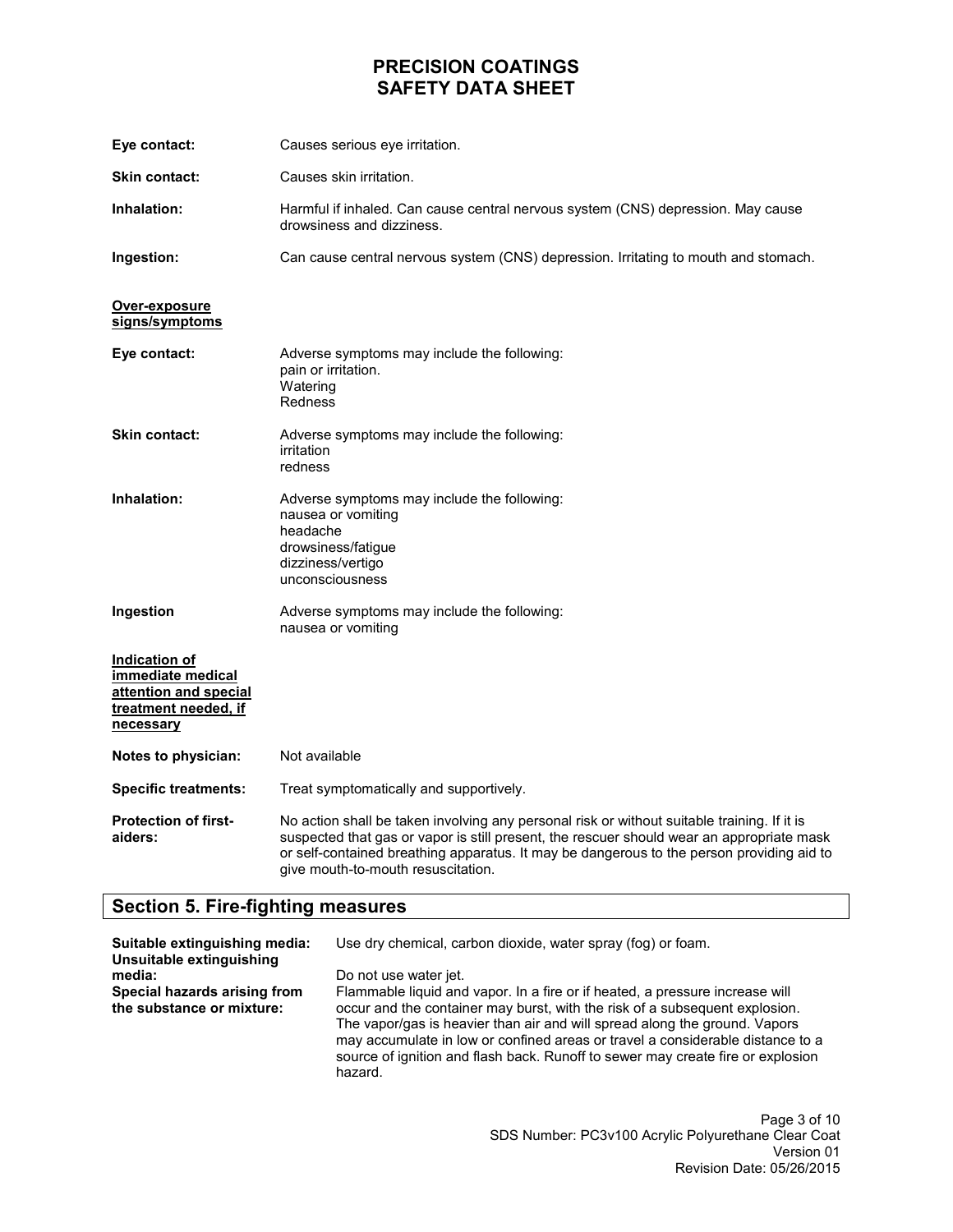| Eye contact:                                                                                                   | Causes serious eye irritation.                                                                                                                                                                                                                                                                                              |
|----------------------------------------------------------------------------------------------------------------|-----------------------------------------------------------------------------------------------------------------------------------------------------------------------------------------------------------------------------------------------------------------------------------------------------------------------------|
| <b>Skin contact:</b>                                                                                           | Causes skin irritation.                                                                                                                                                                                                                                                                                                     |
| Inhalation:                                                                                                    | Harmful if inhaled. Can cause central nervous system (CNS) depression. May cause<br>drowsiness and dizziness.                                                                                                                                                                                                               |
| Ingestion:                                                                                                     | Can cause central nervous system (CNS) depression. Irritating to mouth and stomach.                                                                                                                                                                                                                                         |
| Over-exposure<br>signs/symptoms                                                                                |                                                                                                                                                                                                                                                                                                                             |
| Eye contact:                                                                                                   | Adverse symptoms may include the following:<br>pain or irritation.<br>Watering<br>Redness                                                                                                                                                                                                                                   |
| Skin contact:                                                                                                  | Adverse symptoms may include the following:<br>irritation<br>redness                                                                                                                                                                                                                                                        |
| Inhalation:                                                                                                    | Adverse symptoms may include the following:<br>nausea or vomiting<br>headache<br>drowsiness/fatigue<br>dizziness/vertigo<br>unconsciousness                                                                                                                                                                                 |
| Ingestion                                                                                                      | Adverse symptoms may include the following:<br>nausea or vomiting                                                                                                                                                                                                                                                           |
| <b>Indication of</b><br>immediate medical<br>attention and special<br>treatment needed, if<br><b>necessary</b> |                                                                                                                                                                                                                                                                                                                             |
| Notes to physician:                                                                                            | Not available                                                                                                                                                                                                                                                                                                               |
| <b>Specific treatments:</b>                                                                                    | Treat symptomatically and supportively.                                                                                                                                                                                                                                                                                     |
| <b>Protection of first-</b><br>aiders:                                                                         | No action shall be taken involving any personal risk or without suitable training. If it is<br>suspected that gas or vapor is still present, the rescuer should wear an appropriate mask<br>or self-contained breathing apparatus. It may be dangerous to the person providing aid to<br>give mouth-to-mouth resuscitation. |

# **Section 5. Fire-fighting measures**

| Suitable extinguishing media:<br>Unsuitable extinguishing | Use dry chemical, carbon dioxide, water spray (fog) or foam.                                                                                                                                                                                                                                                                                                                                                              |
|-----------------------------------------------------------|---------------------------------------------------------------------------------------------------------------------------------------------------------------------------------------------------------------------------------------------------------------------------------------------------------------------------------------------------------------------------------------------------------------------------|
| media:                                                    | Do not use water jet.                                                                                                                                                                                                                                                                                                                                                                                                     |
| Special hazards arising from<br>the substance or mixture: | Flammable liquid and vapor. In a fire or if heated, a pressure increase will<br>occur and the container may burst, with the risk of a subsequent explosion.<br>The vapor/gas is heavier than air and will spread along the ground. Vapors<br>may accumulate in low or confined areas or travel a considerable distance to a<br>source of ignition and flash back. Runoff to sewer may create fire or explosion<br>hazard. |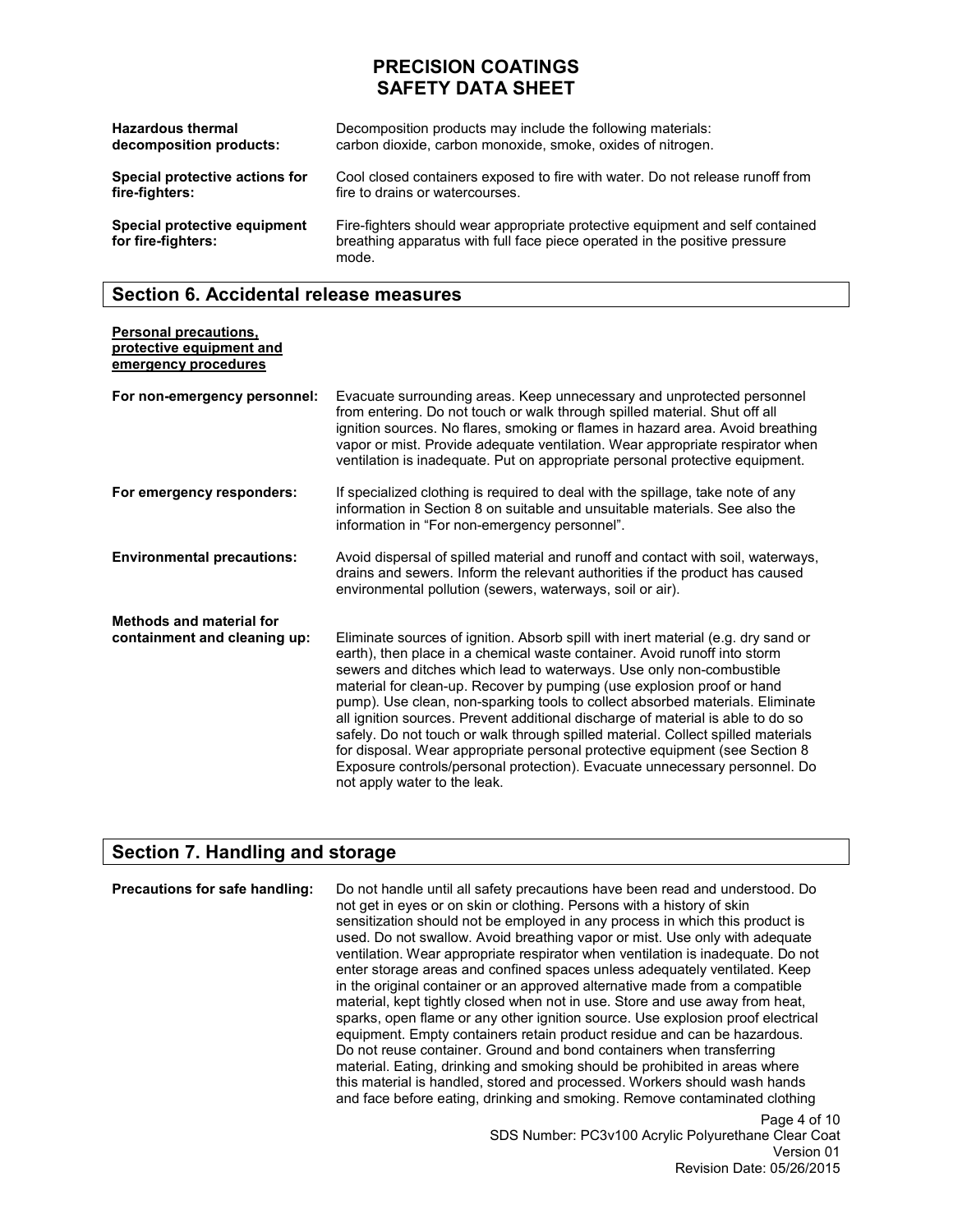| <b>Hazardous thermal</b>                           | Decomposition products may include the following materials:                                                                                                          |
|----------------------------------------------------|----------------------------------------------------------------------------------------------------------------------------------------------------------------------|
| decomposition products:                            | carbon dioxide, carbon monoxide, smoke, oxides of nitrogen.                                                                                                          |
| Special protective actions for                     | Cool closed containers exposed to fire with water. Do not release runoff from                                                                                        |
| fire-fighters:                                     | fire to drains or watercourses.                                                                                                                                      |
| Special protective equipment<br>for fire-fighters: | Fire-fighters should wear appropriate protective equipment and self contained<br>breathing apparatus with full face piece operated in the positive pressure<br>mode. |

### **Section 6. Accidental release measures**

**Personal precautions,** 

| protective equipment and<br>emergency procedures         |                                                                                                                                                                                                                                                                                                                                                                                                                                                                                                                                                                                                                                                                                                                                                                        |
|----------------------------------------------------------|------------------------------------------------------------------------------------------------------------------------------------------------------------------------------------------------------------------------------------------------------------------------------------------------------------------------------------------------------------------------------------------------------------------------------------------------------------------------------------------------------------------------------------------------------------------------------------------------------------------------------------------------------------------------------------------------------------------------------------------------------------------------|
| For non-emergency personnel:                             | Evacuate surrounding areas. Keep unnecessary and unprotected personnel<br>from entering. Do not touch or walk through spilled material. Shut off all<br>ignition sources. No flares, smoking or flames in hazard area. Avoid breathing<br>vapor or mist. Provide adequate ventilation. Wear appropriate respirator when<br>ventilation is inadequate. Put on appropriate personal protective equipment.                                                                                                                                                                                                                                                                                                                                                                |
| For emergency responders:                                | If specialized clothing is required to deal with the spillage, take note of any<br>information in Section 8 on suitable and unsuitable materials. See also the<br>information in "For non-emergency personnel".                                                                                                                                                                                                                                                                                                                                                                                                                                                                                                                                                        |
| <b>Environmental precautions:</b>                        | Avoid dispersal of spilled material and runoff and contact with soil, waterways,<br>drains and sewers. Inform the relevant authorities if the product has caused<br>environmental pollution (sewers, waterways, soil or air).                                                                                                                                                                                                                                                                                                                                                                                                                                                                                                                                          |
| Methods and material for<br>containment and cleaning up: | Eliminate sources of ignition. Absorb spill with inert material (e.g. dry sand or<br>earth), then place in a chemical waste container. Avoid runoff into storm<br>sewers and ditches which lead to waterways. Use only non-combustible<br>material for clean-up. Recover by pumping (use explosion proof or hand<br>pump). Use clean, non-sparking tools to collect absorbed materials. Eliminate<br>all ignition sources. Prevent additional discharge of material is able to do so<br>safely. Do not touch or walk through spilled material. Collect spilled materials<br>for disposal. Wear appropriate personal protective equipment (see Section 8)<br>Exposure controls/personal protection). Evacuate unnecessary personnel. Do<br>not apply water to the leak. |

### **Section 7. Handling and storage**

Page 4 of 10 **Precautions for safe handling:** Do not handle until all safety precautions have been read and understood. Do not get in eyes or on skin or clothing. Persons with a history of skin sensitization should not be employed in any process in which this product is used. Do not swallow. Avoid breathing vapor or mist. Use only with adequate ventilation. Wear appropriate respirator when ventilation is inadequate. Do not enter storage areas and confined spaces unless adequately ventilated. Keep in the original container or an approved alternative made from a compatible material, kept tightly closed when not in use. Store and use away from heat, sparks, open flame or any other ignition source. Use explosion proof electrical equipment. Empty containers retain product residue and can be hazardous. Do not reuse container. Ground and bond containers when transferring material. Eating, drinking and smoking should be prohibited in areas where this material is handled, stored and processed. Workers should wash hands and face before eating, drinking and smoking. Remove contaminated clothing

SDS Number: PC3v100 Acrylic Polyurethane Clear Coat Version 01 Revision Date: 05/26/2015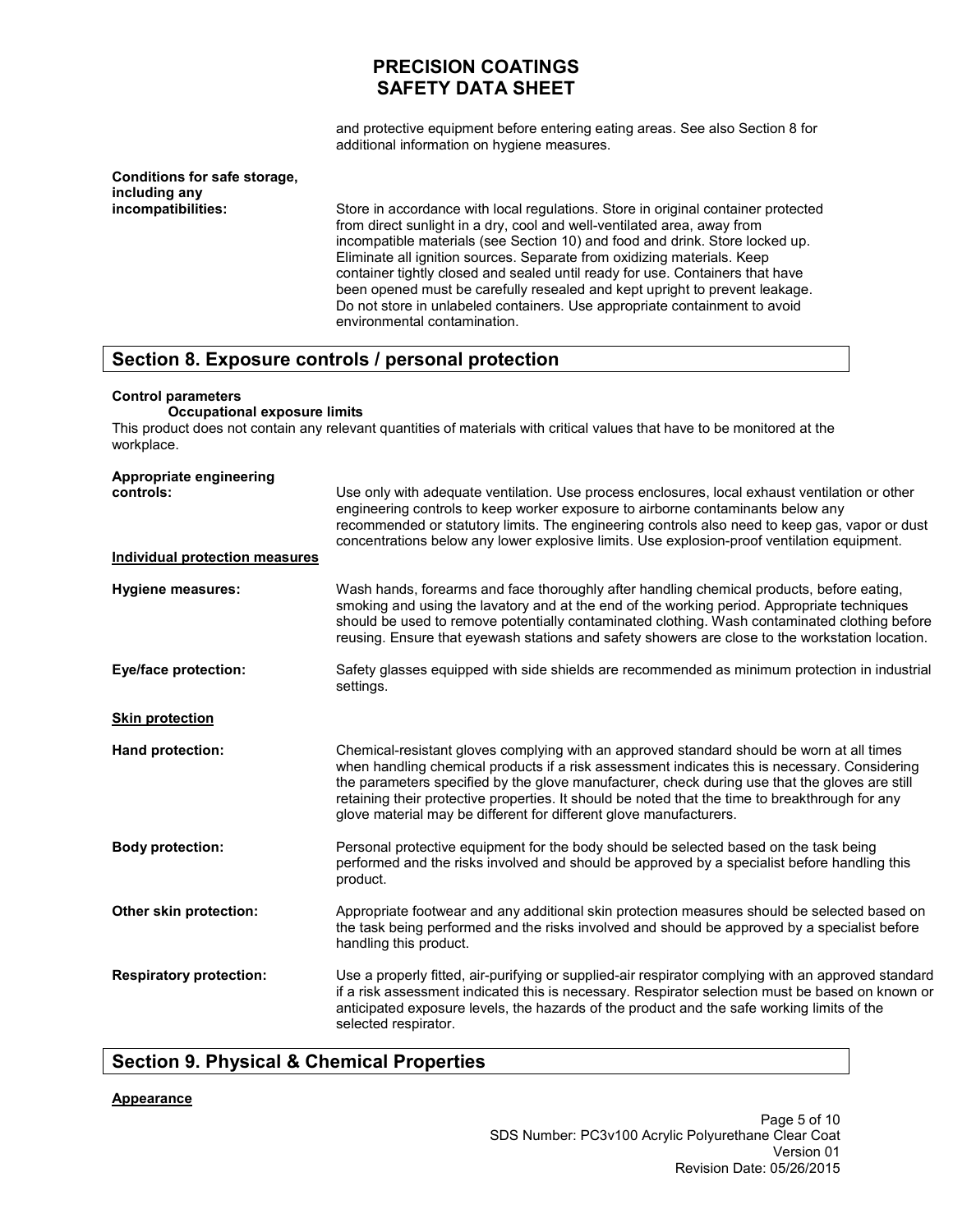and protective equipment before entering eating areas. See also Section 8 for additional information on hygiene measures.

#### **Conditions for safe storage, including any incompatibilities:**

Store in accordance with local regulations. Store in original container protected from direct sunlight in a dry, cool and well-ventilated area, away from incompatible materials (see Section 10) and food and drink. Store locked up. Eliminate all ignition sources. Separate from oxidizing materials. Keep container tightly closed and sealed until ready for use. Containers that have been opened must be carefully resealed and kept upright to prevent leakage. Do not store in unlabeled containers. Use appropriate containment to avoid environmental contamination.

### **Section 8. Exposure controls / personal protection**

#### **Control parameters**

#### **Occupational exposure limits**

This product does not contain any relevant quantities of materials with critical values that have to be monitored at the workplace.

| Appropriate engineering<br>controls:  |                                                                                                                                                                                                                                                                                                                                                                                                                                                                       |
|---------------------------------------|-----------------------------------------------------------------------------------------------------------------------------------------------------------------------------------------------------------------------------------------------------------------------------------------------------------------------------------------------------------------------------------------------------------------------------------------------------------------------|
|                                       | Use only with adequate ventilation. Use process enclosures, local exhaust ventilation or other<br>engineering controls to keep worker exposure to airborne contaminants below any<br>recommended or statutory limits. The engineering controls also need to keep gas, vapor or dust<br>concentrations below any lower explosive limits. Use explosion-proof ventilation equipment.                                                                                    |
| <b>Individual protection measures</b> |                                                                                                                                                                                                                                                                                                                                                                                                                                                                       |
| <b>Hygiene measures:</b>              | Wash hands, forearms and face thoroughly after handling chemical products, before eating,<br>smoking and using the lavatory and at the end of the working period. Appropriate techniques<br>should be used to remove potentially contaminated clothing. Wash contaminated clothing before<br>reusing. Ensure that eyewash stations and safety showers are close to the workstation location.                                                                          |
| Eye/face protection:                  | Safety glasses equipped with side shields are recommended as minimum protection in industrial<br>settings.                                                                                                                                                                                                                                                                                                                                                            |
| <b>Skin protection</b>                |                                                                                                                                                                                                                                                                                                                                                                                                                                                                       |
| Hand protection:                      | Chemical-resistant gloves complying with an approved standard should be worn at all times<br>when handling chemical products if a risk assessment indicates this is necessary. Considering<br>the parameters specified by the glove manufacturer, check during use that the gloves are still<br>retaining their protective properties. It should be noted that the time to breakthrough for any<br>glove material may be different for different glove manufacturers. |
| <b>Body protection:</b>               | Personal protective equipment for the body should be selected based on the task being<br>performed and the risks involved and should be approved by a specialist before handling this<br>product.                                                                                                                                                                                                                                                                     |
| Other skin protection:                | Appropriate footwear and any additional skin protection measures should be selected based on<br>the task being performed and the risks involved and should be approved by a specialist before<br>handling this product.                                                                                                                                                                                                                                               |
| <b>Respiratory protection:</b>        | Use a properly fitted, air-purifying or supplied-air respirator complying with an approved standard<br>if a risk assessment indicated this is necessary. Respirator selection must be based on known or<br>anticipated exposure levels, the hazards of the product and the safe working limits of the<br>selected respirator.                                                                                                                                         |

### **Section 9. Physical & Chemical Properties**

#### **Appearance**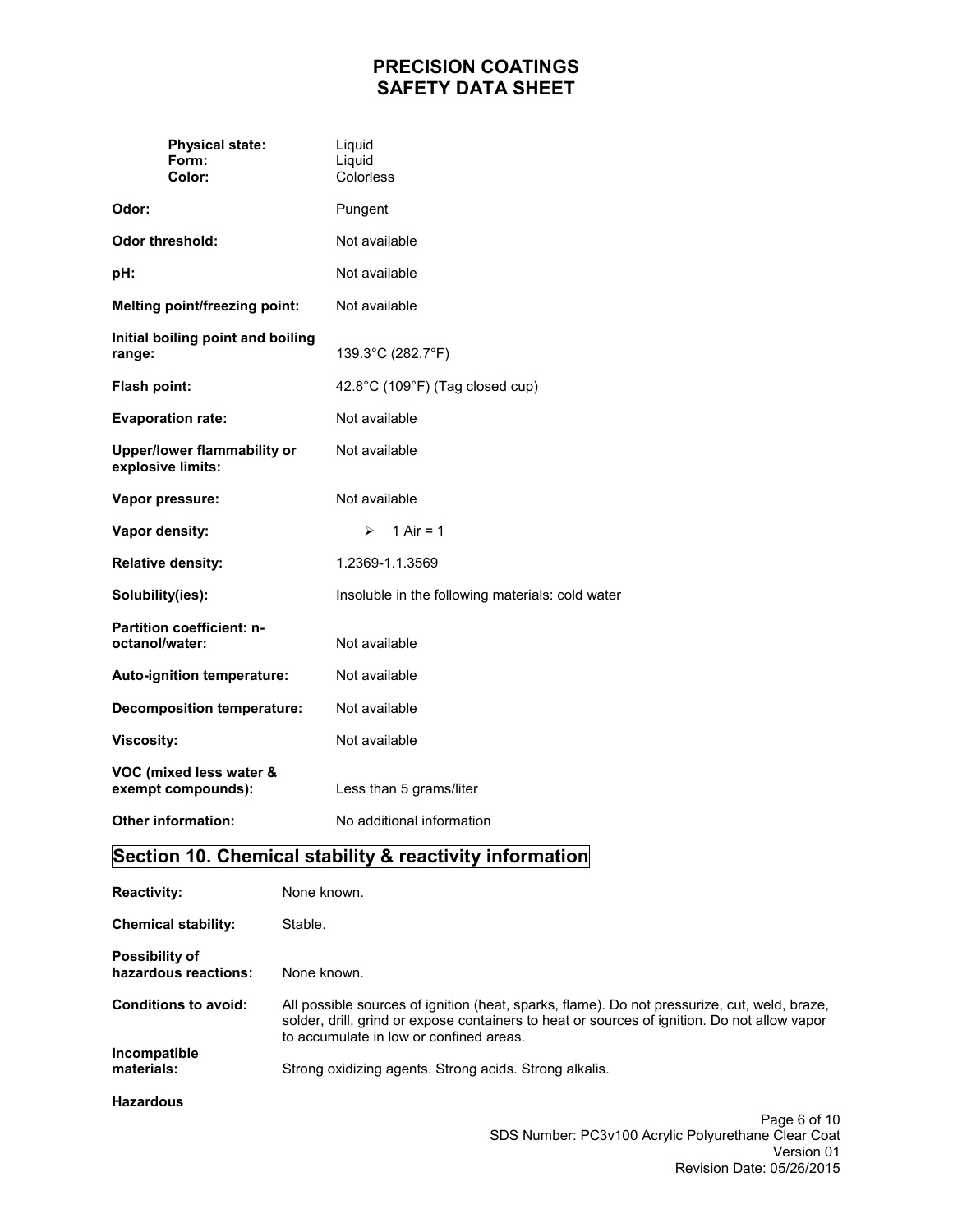| <b>Physical state:</b><br>Form:<br>Color:               | Liquid<br>Liquid<br>Colorless                    |
|---------------------------------------------------------|--------------------------------------------------|
| Odor:                                                   | Pungent                                          |
| <b>Odor threshold:</b>                                  | Not available                                    |
| pH:                                                     | Not available                                    |
| <b>Melting point/freezing point:</b>                    | Not available                                    |
| Initial boiling point and boiling<br>range:             | 139.3°C (282.7°F)                                |
| Flash point:                                            | 42.8°C (109°F) (Tag closed cup)                  |
| <b>Evaporation rate:</b>                                | Not available                                    |
| <b>Upper/lower flammability or</b><br>explosive limits: | Not available                                    |
| Vapor pressure:                                         | Not available                                    |
| Vapor density:                                          | 1 Air = $1$<br>$\triangleright$                  |
| <b>Relative density:</b>                                | 1.2369-1.1.3569                                  |
| Solubility(ies):                                        | Insoluble in the following materials: cold water |
| <b>Partition coefficient: n-</b><br>octanol/water:      | Not available                                    |
| Auto-ignition temperature:                              | Not available                                    |
| <b>Decomposition temperature:</b>                       | Not available                                    |
| <b>Viscosity:</b>                                       | Not available                                    |
| VOC (mixed less water &<br>exempt compounds):           | Less than 5 grams/liter                          |
| <b>Other information:</b>                               | No additional information                        |

# **Section 10. Chemical stability & reactivity information**

| <b>Reactivity:</b>                            | None known.                                                                                                                                                                                                                             |
|-----------------------------------------------|-----------------------------------------------------------------------------------------------------------------------------------------------------------------------------------------------------------------------------------------|
| <b>Chemical stability:</b>                    | Stable.                                                                                                                                                                                                                                 |
| <b>Possibility of</b><br>hazardous reactions: | None known.                                                                                                                                                                                                                             |
| <b>Conditions to avoid:</b>                   | All possible sources of ignition (heat, sparks, flame). Do not pressurize, cut, weld, braze,<br>solder, drill, grind or expose containers to heat or sources of ignition. Do not allow vapor<br>to accumulate in low or confined areas. |
| Incompatible<br>materials:                    | Strong oxidizing agents. Strong acids. Strong alkalis.                                                                                                                                                                                  |
| <b>Hazardous</b>                              |                                                                                                                                                                                                                                         |
|                                               | Page 6 of 10                                                                                                                                                                                                                            |

SDS Number: PC3v100 Acrylic Polyurethane Clear Coat Version 01 Revision Date: 05/26/2015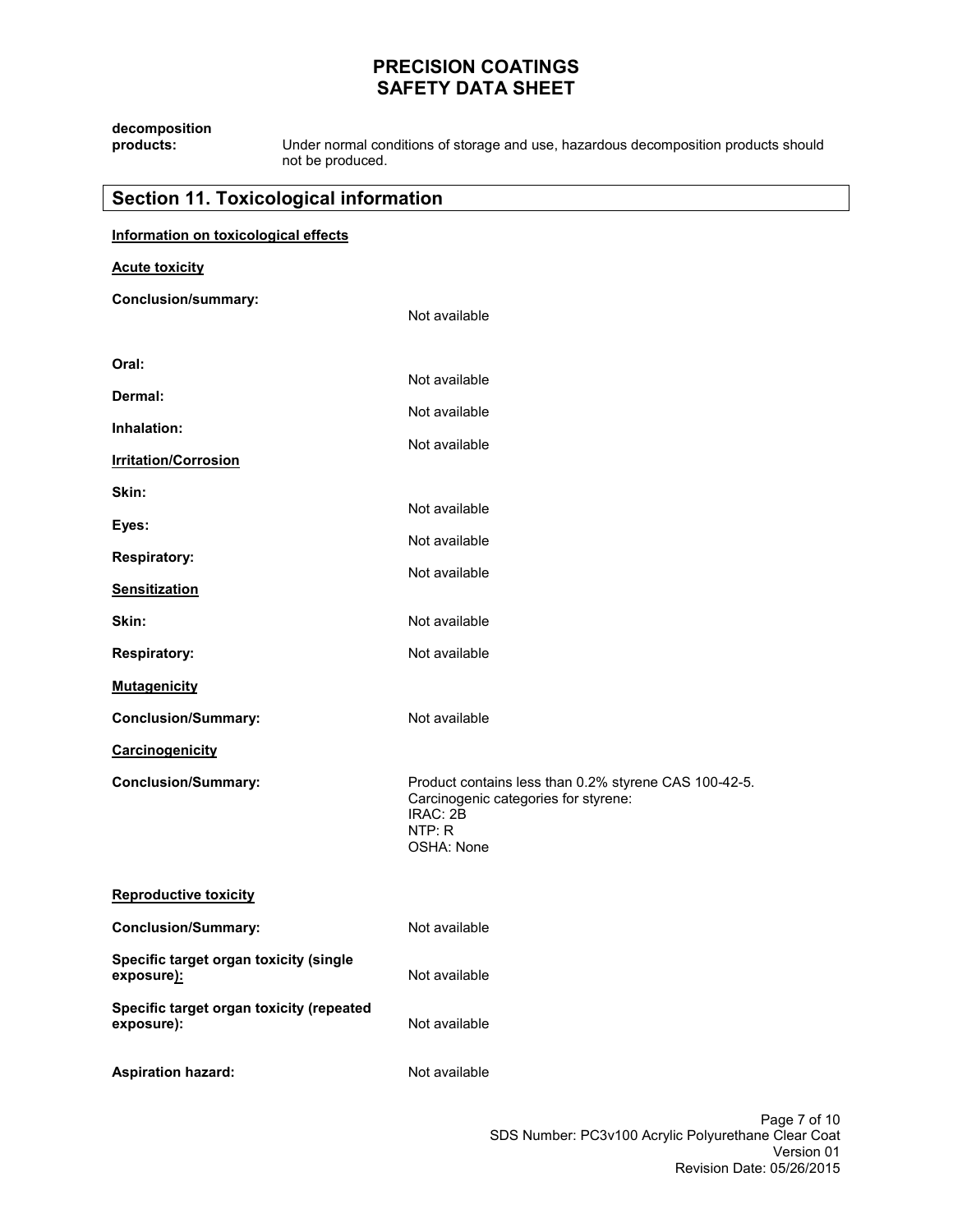| decomposition<br>products:                             | Under normal conditions of storage and use, hazardous decomposition products should<br>not be produced.                           |  |
|--------------------------------------------------------|-----------------------------------------------------------------------------------------------------------------------------------|--|
| <b>Section 11. Toxicological information</b>           |                                                                                                                                   |  |
| Information on toxicological effects                   |                                                                                                                                   |  |
| <b>Acute toxicity</b>                                  |                                                                                                                                   |  |
| <b>Conclusion/summary:</b>                             | Not available                                                                                                                     |  |
| Oral:                                                  |                                                                                                                                   |  |
| Dermal:                                                | Not available                                                                                                                     |  |
| Inhalation:                                            | Not available                                                                                                                     |  |
| <b>Irritation/Corrosion</b>                            | Not available                                                                                                                     |  |
| Skin:                                                  |                                                                                                                                   |  |
| Eyes:                                                  | Not available                                                                                                                     |  |
| <b>Respiratory:</b>                                    | Not available                                                                                                                     |  |
| <b>Sensitization</b>                                   | Not available                                                                                                                     |  |
| Skin:                                                  | Not available                                                                                                                     |  |
| <b>Respiratory:</b>                                    | Not available                                                                                                                     |  |
| <b>Mutagenicity</b>                                    |                                                                                                                                   |  |
| <b>Conclusion/Summary:</b>                             | Not available                                                                                                                     |  |
| Carcinogenicity                                        |                                                                                                                                   |  |
| <b>Conclusion/Summary:</b>                             | Product contains less than 0.2% styrene CAS 100-42-5.<br>Carcinogenic categories for styrene:<br>IRAC: 2B<br>NTP: R<br>OSHA: None |  |
| <b>Reproductive toxicity</b>                           |                                                                                                                                   |  |
| <b>Conclusion/Summary:</b>                             | Not available                                                                                                                     |  |
| Specific target organ toxicity (single<br>exposure):   | Not available                                                                                                                     |  |
| Specific target organ toxicity (repeated<br>exposure): | Not available                                                                                                                     |  |
| <b>Aspiration hazard:</b>                              | Not available                                                                                                                     |  |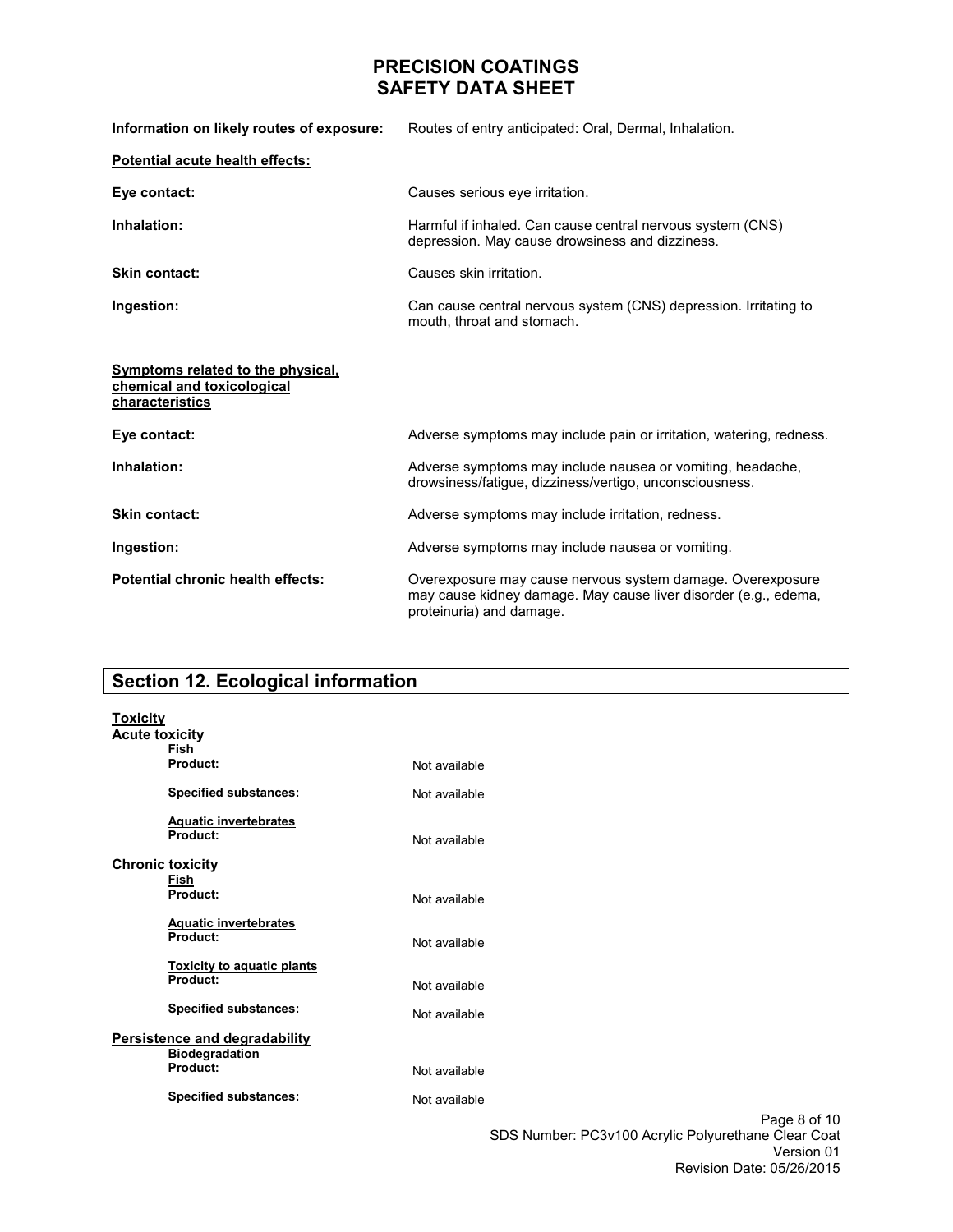| Information on likely routes of exposure:                                          | Routes of entry anticipated: Oral, Dermal, Inhalation.                                                                                                    |  |
|------------------------------------------------------------------------------------|-----------------------------------------------------------------------------------------------------------------------------------------------------------|--|
| Potential acute health effects:                                                    |                                                                                                                                                           |  |
| Eye contact:                                                                       | Causes serious eye irritation.                                                                                                                            |  |
| Inhalation:                                                                        | Harmful if inhaled. Can cause central nervous system (CNS)<br>depression. May cause drowsiness and dizziness.                                             |  |
| Skin contact:                                                                      | Causes skin irritation.                                                                                                                                   |  |
| Ingestion:                                                                         | Can cause central nervous system (CNS) depression. Irritating to<br>mouth, throat and stomach.                                                            |  |
| Symptoms related to the physical,<br>chemical and toxicological<br>characteristics |                                                                                                                                                           |  |
| Eye contact:                                                                       | Adverse symptoms may include pain or irritation, watering, redness.                                                                                       |  |
| Inhalation:                                                                        | Adverse symptoms may include nausea or vomiting, headache,<br>drowsiness/fatigue, dizziness/vertigo, unconsciousness.                                     |  |
| <b>Skin contact:</b>                                                               | Adverse symptoms may include irritation, redness.                                                                                                         |  |
| Ingestion:                                                                         | Adverse symptoms may include nausea or vomiting.                                                                                                          |  |
| Potential chronic health effects:                                                  | Overexposure may cause nervous system damage. Overexposure<br>may cause kidney damage. May cause liver disorder (e.g., edema,<br>proteinuria) and damage. |  |

# **Section 12. Ecological information**

| <b>Toxicity</b>         |                                                        |                                                     |
|-------------------------|--------------------------------------------------------|-----------------------------------------------------|
| <b>Acute toxicity</b>   | Fish                                                   |                                                     |
|                         | Product:                                               | Not available                                       |
|                         | <b>Specified substances:</b>                           | Not available                                       |
|                         | <b>Aquatic invertebrates</b><br>Product:               | Not available                                       |
| <b>Chronic toxicity</b> |                                                        |                                                     |
| Fish<br>Product:        |                                                        | Not available                                       |
|                         | <b>Aquatic invertebrates</b><br>Product:               | Not available                                       |
|                         | <b>Toxicity to aquatic plants</b>                      |                                                     |
|                         | Product:                                               | Not available                                       |
|                         | <b>Specified substances:</b>                           | Not available                                       |
|                         | Persistence and degradability<br><b>Biodegradation</b> |                                                     |
|                         | Product:                                               | Not available                                       |
|                         | <b>Specified substances:</b>                           | Not available                                       |
|                         |                                                        | Page 8 of 10                                        |
|                         |                                                        | SDS Number: PC3v100 Acrylic Polyurathano Clear Coat |

SDS Number: PC3v100 Acrylic Polyurethane Clear Coat Version 01 Revision Date: 05/26/2015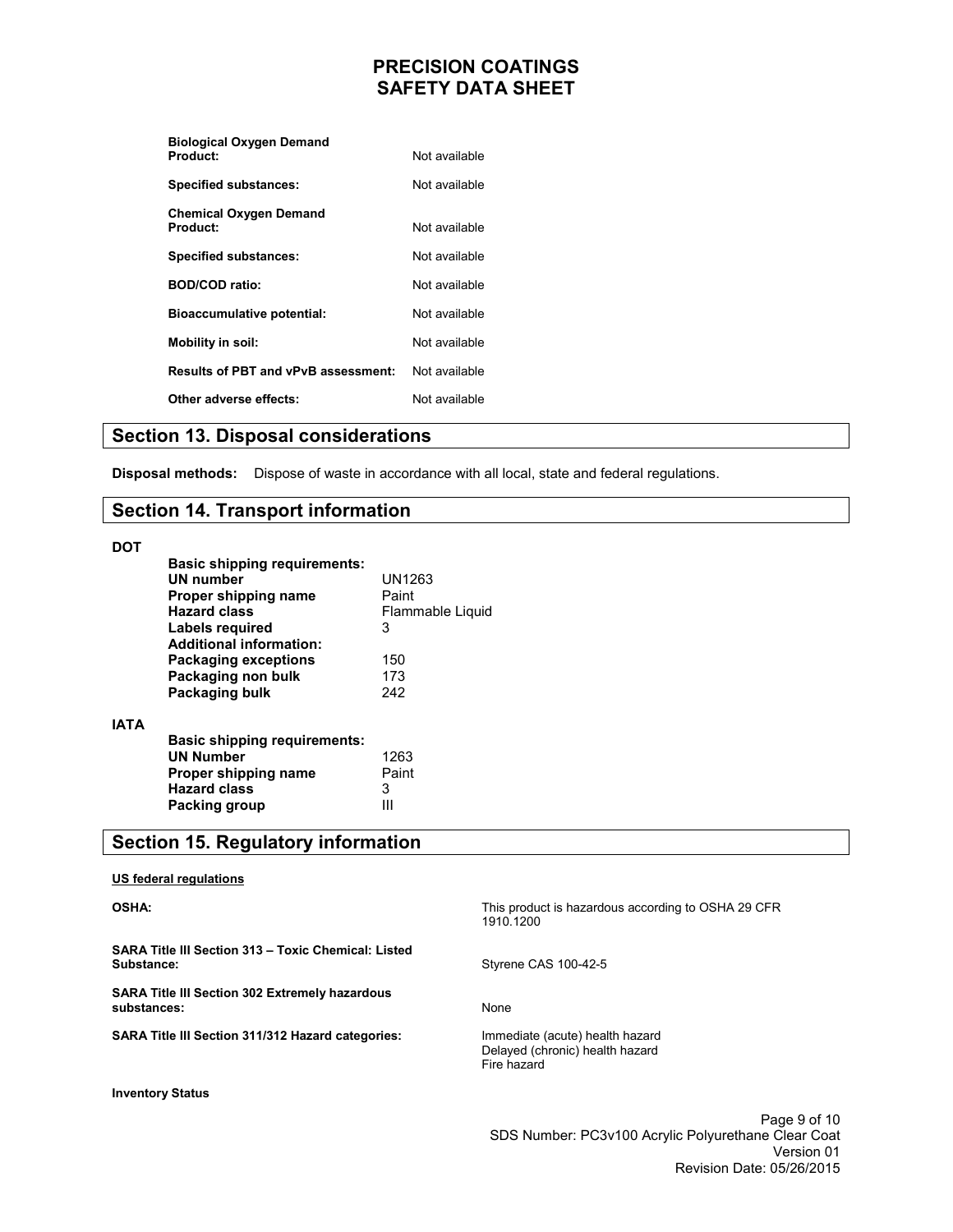| Not available |
|---------------|
| Not available |
|               |
| Not available |
| Not available |
| Not available |
| Not available |
| Not available |
| Not available |
| Not available |
|               |

### **Section 13. Disposal considerations**

**Disposal methods:** Dispose of waste in accordance with all local, state and federal regulations.

#### **Section 14. Transport information**

#### **DOT**

**IATA** 

| <b>Basic shipping requirements:</b> |                  |  |
|-------------------------------------|------------------|--|
| <b>UN number</b>                    | UN1263           |  |
| Proper shipping name                | Paint            |  |
| <b>Hazard class</b>                 | Flammable Liquid |  |
| Labels required                     | 3                |  |
| <b>Additional information:</b>      |                  |  |
| <b>Packaging exceptions</b>         | 150              |  |
| Packaging non bulk                  | 173              |  |
| Packaging bulk                      | 242              |  |
| <b>Basic shipping requirements:</b> |                  |  |
| <b>UN Number</b>                    | 1263             |  |
| Proper shipping name                | Paint            |  |
| <b>Hazard class</b>                 | 3                |  |
| Packing group                       |                  |  |

### **Section 15. Regulatory information**

#### Page 9 of 10 SDS Number: PC3v100 Acrylic Polyurethane Clear Coat **US federal regulations OSHA: SARA Title III Section 313 – Toxic Chemical: Listed Substance: SARA Title III Section 302 Extremely hazardous substances: SARA Title III Section 311/312 Hazard categories:**  This product is hazardous according to OSHA 29 CFR 1910.1200 Styrene CAS 100-42-5 None Immediate (acute) health hazard Delayed (chronic) health hazard Fire hazard **Inventory Status**

Version 01 Revision Date: 05/26/2015